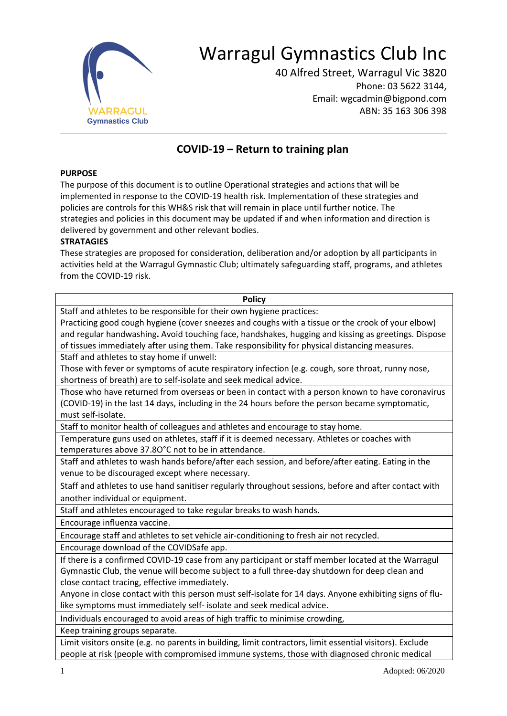

# Warragul Gymnastics Club Inc

40 Alfred Street, Warragul Vic 3820 Phone: 03 5622 3144, Email: wgcadmin@bigpond.com ABN: 35 163 306 398

## **COVID-19 – Return to training plan**

#### **PURPOSE**

The purpose of this document is to outline Operational strategies and actions that will be implemented in response to the COVID-19 health risk. Implementation of these strategies and policies are controls for this WH&S risk that will remain in place until further notice. The strategies and policies in this document may be updated if and when information and direction is delivered by government and other relevant bodies.

#### **STRATAGIES**

These strategies are proposed for consideration, deliberation and/or adoption by all participants in activities held at the Warragul Gymnastic Club; ultimately safeguarding staff, programs, and athletes from the COVID-19 risk.

| <b>Policy</b>                                                                                           |
|---------------------------------------------------------------------------------------------------------|
| Staff and athletes to be responsible for their own hygiene practices:                                   |
| Practicing good cough hygiene (cover sneezes and coughs with a tissue or the crook of your elbow)       |
| and regular handwashing. Avoid touching face, handshakes, hugging and kissing as greetings. Dispose     |
| of tissues immediately after using them. Take responsibility for physical distancing measures.          |
| Staff and athletes to stay home if unwell:                                                              |
| Those with fever or symptoms of acute respiratory infection (e.g. cough, sore throat, runny nose,       |
| shortness of breath) are to self-isolate and seek medical advice.                                       |
| Those who have returned from overseas or been in contact with a person known to have coronavirus        |
| (COVID-19) in the last 14 days, including in the 24 hours before the person became symptomatic,         |
| must self-isolate.                                                                                      |
| Staff to monitor health of colleagues and athletes and encourage to stay home.                          |
| Temperature guns used on athletes, staff if it is deemed necessary. Athletes or coaches with            |
| temperatures above 37.80°C not to be in attendance.                                                     |
| Staff and athletes to wash hands before/after each session, and before/after eating. Eating in the      |
| venue to be discouraged except where necessary.                                                         |
| Staff and athletes to use hand sanitiser regularly throughout sessions, before and after contact with   |
| another individual or equipment.                                                                        |
| Staff and athletes encouraged to take regular breaks to wash hands.                                     |
| Encourage influenza vaccine.                                                                            |
| Encourage staff and athletes to set vehicle air-conditioning to fresh air not recycled.                 |
| Encourage download of the COVIDSafe app.                                                                |
| If there is a confirmed COVID-19 case from any participant or staff member located at the Warragul      |
| Gymnastic Club, the venue will become subject to a full three-day shutdown for deep clean and           |
| close contact tracing, effective immediately.                                                           |
| Anyone in close contact with this person must self-isolate for 14 days. Anyone exhibiting signs of flu- |
| like symptoms must immediately self- isolate and seek medical advice.                                   |
| Individuals encouraged to avoid areas of high traffic to minimise crowding,                             |
| Keep training groups separate.                                                                          |

Limit visitors onsite (e.g. no parents in building, limit contractors, limit essential visitors). Exclude people at risk (people with compromised immune systems, those with diagnosed chronic medical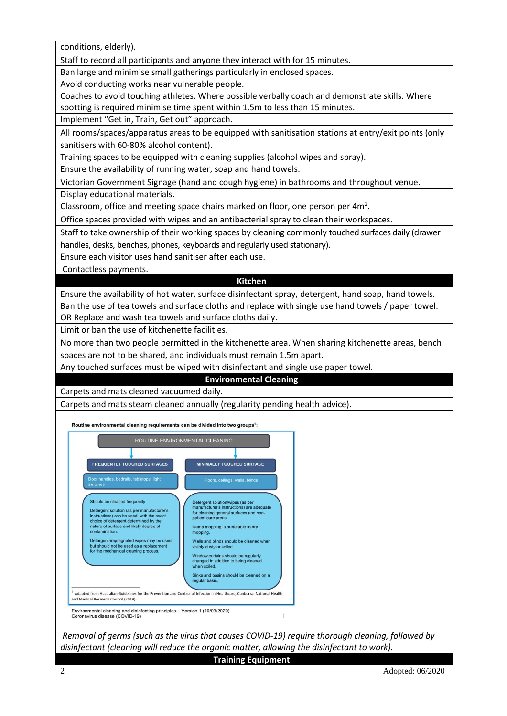conditions, elderly). Staff to record all participants and anyone they interact with for 15 minutes. Ban large and minimise small gatherings particularly in enclosed spaces. Avoid conducting works near vulnerable people. Coaches to avoid touching athletes. Where possible verbally coach and demonstrate skills. Where spotting is required minimise time spent within 1.5m to less than 15 minutes. Implement "Get in, Train, Get out" approach. All rooms/spaces/apparatus areas to be equipped with sanitisation stations at entry/exit points (only sanitisers with 60-80% alcohol content). Training spaces to be equipped with cleaning supplies (alcohol wipes and spray). Ensure the availability of running water, soap and hand towels. Victorian Government Signage (hand and cough hygiene) in bathrooms and throughout venue. Display educational materials. Classroom, office and meeting space chairs marked on floor, one person per 4m<sup>2</sup>. Office spaces provided with wipes and an antibacterial spray to clean their workspaces. Staff to take ownership of their working spaces by cleaning commonly touched surfaces daily (drawer handles, desks, benches, phones, keyboards and regularly used stationary). Ensure each visitor uses hand sanitiser after each use. Contactless payments. **Kitchen** Ensure the availability of hot water, surface disinfectant spray, detergent, hand soap, hand towels. Ban the use of tea towels and surface cloths and replace with single use hand towels / paper towel. OR Replace and wash tea towels and surface cloths daily. Limit or ban the use of kitchenette facilities. No more than two people permitted in the kitchenette area. When sharing kitchenette areas, bench spaces are not to be shared, and individuals must remain 1.5m apart. Any touched surfaces must be wiped with disinfectant and single use paper towel. **Environmental Cleaning** Carpets and mats cleaned vacuumed daily. Carpets and mats steam cleaned annually (regularity pending health advice). Routine environmental cleaning requirements can be divided into two groups<sup>1</sup>: ROUTINE ENVIRONMENTAL CLEANING FREQUENTLY TOUCHED SURFACES MINIMALLY TOUCHED SURFACE Detergent solution/wipes (as per Should be cleaned frequently anufacturer's instructio ns) are adequate Detergent solution (as per manufacturer's<br>instructions) can be used, with the exact<br>choice of detergent determined by the<br>nature of surface and likely degree of financialities is instructions) are adeq<br>for cleaning general surfaces and nor<br>patient care areas. Damp mopping is preferable to dry contamination. Detergent-impregnated wipes may be used<br>but should not be used as a replacement<br>for the mechanical cleaning process. Walls and blinds should be cleaned when isibly dusty or so Window curtains should be regularly<br>changed in addition to being cleaned<br>when soiled. Sinks and basins should be cleaned on a regular basis <sup>1</sup> Adapted from Australian Guidelines for the Prevention and Control of Infection in Healthcare. Canberra: National Health and Medical Research Council (2019). Environmental cleaning and disinfecting principles - Version 1 (10/03/2020)<br>Coronavirus disease (COVID-19) *Removal of germs (such as the virus that causes COVID-19) require thorough cleaning, followed by* 

*disinfectant (cleaning will reduce the organic matter, allowing the disinfectant to work).*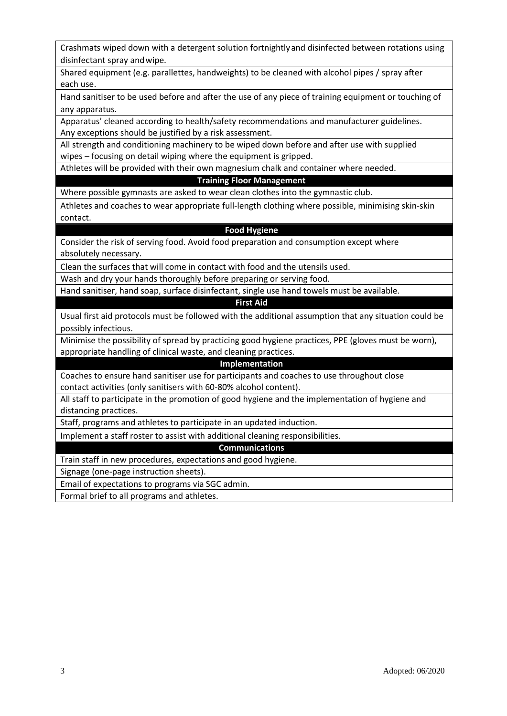| Crashmats wiped down with a detergent solution fortnightly and disinfected between rotations using |
|----------------------------------------------------------------------------------------------------|
| disinfectant spray and wipe.                                                                       |

Shared equipment (e.g. parallettes, handweights) to be cleaned with alcohol pipes / spray after each use.

Hand sanitiser to be used before and after the use of any piece of training equipment or touching of any apparatus.

Apparatus' cleaned according to health/safety recommendations and manufacturer guidelines. Any exceptions should be justified by a risk assessment.

All strength and conditioning machinery to be wiped down before and after use with supplied wipes – focusing on detail wiping where the equipment is gripped.

Athletes will be provided with their own magnesium chalk and container where needed.

#### **Training Floor Management**

Where possible gymnasts are asked to wear clean clothes into the gymnastic club.

Athletes and coaches to wear appropriate full-length clothing where possible, minimising skin-skin contact.

### **Food Hygiene**

Consider the risk of serving food. Avoid food preparation and consumption except where absolutely necessary.

Clean the surfaces that will come in contact with food and the utensils used.

Wash and dry your hands thoroughly before preparing or serving food.

Hand sanitiser, hand soap, surface disinfectant, single use hand towels must be available.

#### **First Aid**

Usual first aid protocols must be followed with the additional assumption that any situation could be possibly infectious.

Minimise the possibility of spread by practicing good hygiene practices, PPE (gloves must be worn), appropriate handling of clinical waste, and cleaning practices.

#### **Implementation**

Coaches to ensure hand sanitiser use for participants and coaches to use throughout close contact activities (only sanitisers with 60-80% alcohol content).

All staff to participate in the promotion of good hygiene and the implementation of hygiene and distancing practices.

Staff, programs and athletes to participate in an updated induction.

Implement a staff roster to assist with additional cleaning responsibilities.

#### **Communications**

Train staff in new procedures, expectations and good hygiene.

Signage (one-page instruction sheets).

Email of expectations to programs via SGC admin.

Formal brief to all programs and athletes.